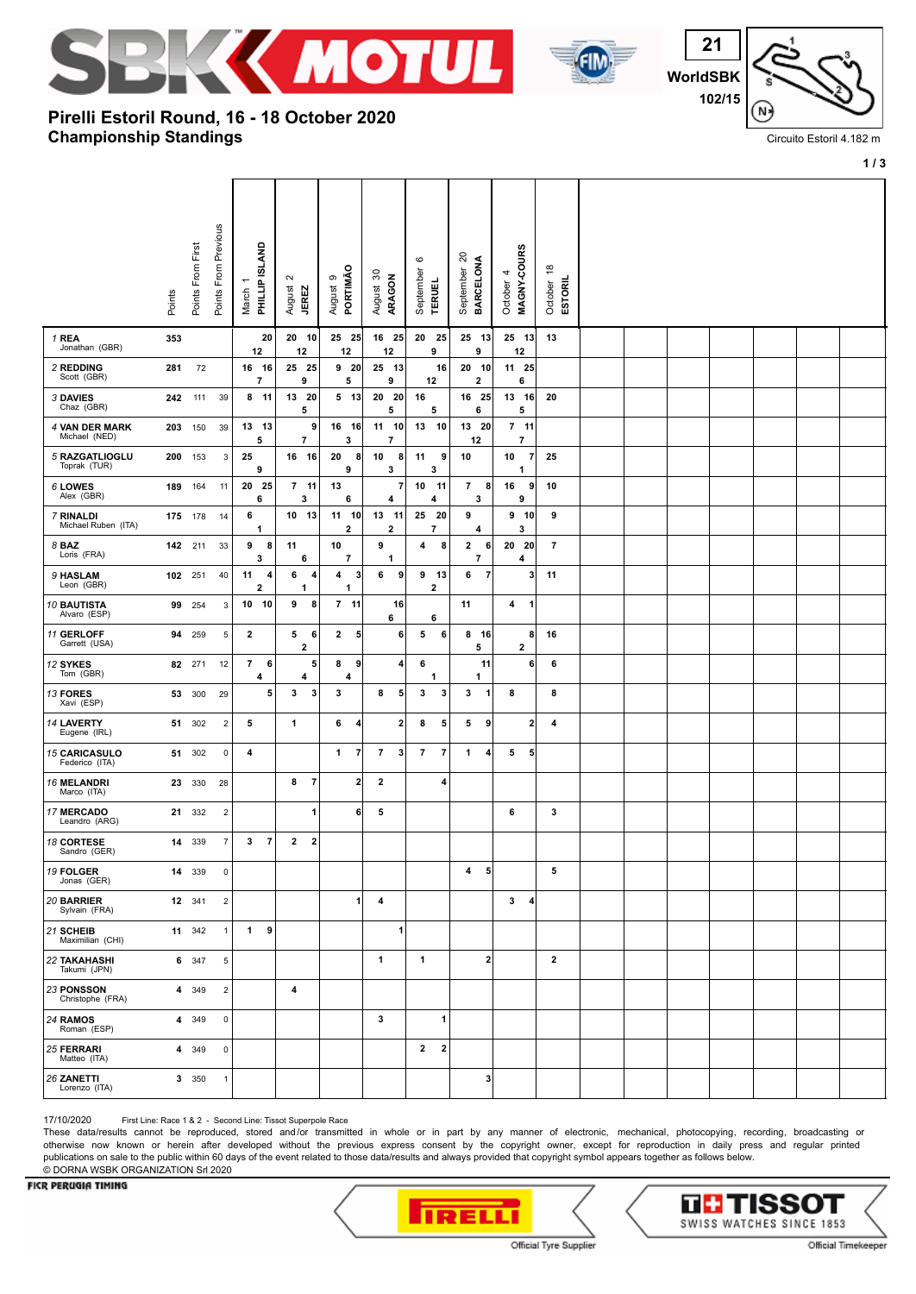



 **WorldSBK 102/15** N

Circuito Estoril 4.182 m

**1 / 3**

## **Championship Standings Pirelli Estoril Round, 16 - 18 October 2020**

|                                        |         |                   | Points From Previous    | <b>GLAND</b>                  |                |                                           |                                |                                   | $\rm \circ$                | $\overline{\mathcal{S}}$            | 4                       |                           | $\overset{\circ}{\tau}$ |  |  |  |  |
|----------------------------------------|---------|-------------------|-------------------------|-------------------------------|----------------|-------------------------------------------|--------------------------------|-----------------------------------|----------------------------|-------------------------------------|-------------------------|---------------------------|-------------------------|--|--|--|--|
|                                        | Points  | Points From First |                         | PHILLIP<br>March              |                | $\sim$<br>August<br><b>JEREZ</b>          | PORTIMÃO<br>თ<br>August        | August 30<br>ARAGON               | September<br><b>TERUEL</b> | <b>BARCELONA</b><br>September       | October                 | MAGNY-COURS               | ESTORIL<br>October      |  |  |  |  |
| 1 REA<br>Jonathan (GBR)                | 353     |                   |                         | 12                            | 20             | 20 10<br>12                               | 25 25<br>12                    | 16 25<br>12                       | 20 25<br>9                 | 25 13<br>9                          |                         | 25 13<br>12               | 13                      |  |  |  |  |
| 2 REDDING<br>Scott (GBR)               | 281     | 72                |                         | 16 16<br>$\overline{7}$       |                | 25 25<br>9                                | 9 <sub>20</sub><br>5           | 25 13<br>9                        | 12                         | 16<br>20 10<br>$\mathbf{2}$         |                         | 11 25<br>6                |                         |  |  |  |  |
| 3 DAVIES<br>Chaz (GBR)                 | 242     | 111               | 39                      | 8 11                          |                | 13 20<br>5                                | $5$ 13                         | 20<br>- 20<br>5                   | 16<br>5                    | 16 25<br>6                          |                         | $13 \quad 16$<br>5        | 20                      |  |  |  |  |
| 4 VAN DER MARK<br>Michael (NED)        | 203 150 |                   | 39                      | 13 13<br>5                    |                | 9<br>$\overline{7}$                       | 16 16<br>3                     | 11 10<br>$\overline{\phantom{a}}$ | 13                         | 10<br>13 20<br>12                   |                         | $7$ 11<br>7               |                         |  |  |  |  |
| 5 RAZGATLIOGLU<br>Toprak (TUR)         | 200 153 |                   | 3                       | 25<br>9                       |                | 16<br>- 16                                | 20<br>8<br>9                   | 10<br>8<br>3                      | 11<br>3                    | 10<br>9                             |                         | 10<br>$\overline{7}$<br>1 | 25                      |  |  |  |  |
| 6 LOWES<br>Alex (GBR)                  | 189 164 |                   | 11                      | 20 25<br>6                    |                | $7$ 11<br>3                               | 13<br>6                        | 7<br>4                            | 10<br>4                    | 11<br>$\overline{7}$<br>3           | 8                       | 9<br>16<br>9              | 10                      |  |  |  |  |
| 7 RINALDI<br>Michael Ruben (ITA)       | 175 178 |                   | 14                      | 6<br>1                        |                | 10 13                                     | 11<br>10<br>$\mathbf{2}$       | 13 11<br>2                        | 25<br>7                    | 20<br>9<br>4                        |                         | 9<br>10<br>3              | 9                       |  |  |  |  |
| 8 BAZ<br>Loris (FRA)                   | 142     | 211               | 33                      | 9<br>3                        | 8              | 11<br>6                                   | 10<br>$\overline{\mathbf{r}}$  | 9<br>1                            | 4                          | 8<br>$\mathbf{2}$<br>$\overline{7}$ | 6                       | 20<br>20<br>4             | $\overline{7}$          |  |  |  |  |
| 9 HASLAM<br>Leon (GBR)                 | 102 251 |                   | 40                      | 11<br>$\overline{\mathbf{2}}$ | 4              | 6<br>4<br>1                               | 4<br>3<br>1                    | 6<br>9                            | 9<br>- 13<br>2             | 6                                   | $\overline{7}$          | 3                         | 11                      |  |  |  |  |
| <b>10 BAUTISTA</b><br>Alvaro (ESP)     | 99      | 254               | 3                       | 10 10                         |                | 9<br>8                                    | $7$ 11                         | 16<br>6                           | 6                          | 11                                  |                         | 4<br>$\mathbf{1}$         |                         |  |  |  |  |
| 11 GERLOFF<br>Garrett (USA)            | 94      | 259               | 5                       | $\overline{\mathbf{2}}$       |                | 5<br>6<br>$\mathbf{2}$                    | $\mathbf{2}$<br>5              | 6                                 | 5                          | 6<br>8 16<br>5                      |                         | 8<br>$\mathbf{2}$         | 16                      |  |  |  |  |
| 12 SYKES<br>Tom (GBR)                  |         | 82 271            | 12                      | $\overline{7}$<br>4           | 6              | 5<br>4                                    | 8<br>9<br>4                    | 4                                 | 6<br>1                     | 1                                   | 11                      | 6                         | 6                       |  |  |  |  |
| 13 FORES<br>Xavi (ESP)                 | 53      | 300               | 29                      |                               | 5              | $\mathbf{3}$<br>3                         | 3                              | 8<br>5                            | 3                          | 3<br>3                              | 1                       | 8                         | 8                       |  |  |  |  |
| 14 LAVERTY<br>Eugene (IRL)             | 51      | 302               | $\overline{2}$          | 5                             |                | $\mathbf{1}$                              | 6<br>4                         | $\mathbf{2}$                      | 8                          | 5<br>5                              | 9                       | 2                         | 4                       |  |  |  |  |
| <b>15 CARICASULO</b><br>Federico (ITA) | 51      | 302               | $\overline{0}$          | 4                             |                |                                           | $\mathbf{1}$<br>$\overline{7}$ | $\overline{7}$<br>3               | $\overline{7}$             | $\overline{7}$<br>1                 | 4                       | 5<br>5                    |                         |  |  |  |  |
| <b>16 MELANDRI</b><br>Marco (ITA)      |         | 23 330            | 28                      |                               |                | $\overline{7}$<br>8                       | $\mathbf{2}$                   | $\mathbf{2}$                      |                            | 4                                   |                         |                           |                         |  |  |  |  |
| <b>17 MERCADO</b><br>Leandro (ARG)     | 21      | 332               | $\overline{\mathbf{c}}$ |                               |                | 1                                         | $6 \mid$                       | 5                                 |                            |                                     |                         | 6                         | 3                       |  |  |  |  |
| <b>18 CORTESE</b><br>Sandro (GER)      | 14      | 339               | $\overline{7}$          | 3                             | $\overline{7}$ | $\overline{\mathbf{2}}$<br>$\overline{2}$ |                                |                                   |                            |                                     |                         |                           |                         |  |  |  |  |
| <b>19 FOLGER</b><br>Jonas (GER)        | 14      | 339               | 0                       |                               |                |                                           |                                |                                   |                            | 4                                   | 5                       |                           | 5                       |  |  |  |  |
| 20 BARRIER<br>Sylvain (FRA)            |         | 12 341            | $\overline{2}$          |                               |                |                                           | 1                              | 4                                 |                            |                                     |                         | $\mathbf{3}$<br>4         |                         |  |  |  |  |
| 21 SCHEIB<br>Maximilian (CHI)          |         | 11 342            | $\overline{1}$          | $\mathbf{1}$                  | 9              |                                           |                                | 1                                 |                            |                                     |                         |                           |                         |  |  |  |  |
| <b>22 TAKAHASHI</b><br>Takumi (JPN)    |         | 6 347             | 5                       |                               |                |                                           |                                | 1                                 | $\mathbf{1}$               |                                     | $\overline{\mathbf{2}}$ |                           | $\mathbf{2}$            |  |  |  |  |
| 23 PONSSON<br>Christophe (FRA)         |         | 4 349             | $\overline{2}$          |                               |                | 4                                         |                                |                                   |                            |                                     |                         |                           |                         |  |  |  |  |
| 24 RAMOS<br>Roman (ESP)                | 4       | 349               | $\overline{0}$          |                               |                |                                           |                                | 3                                 |                            | 1                                   |                         |                           |                         |  |  |  |  |
| 25 FERRARI<br>Matteo (ITA)             |         | 4 349             | $\mathbf 0$             |                               |                |                                           |                                |                                   | $\overline{2}$             | $\overline{\mathbf{2}}$             |                         |                           |                         |  |  |  |  |
| 26 ZANETTI<br>Lorenzo (ITA)            |         | 3 350             | $\overline{1}$          |                               |                |                                           |                                |                                   |                            |                                     | 3                       |                           |                         |  |  |  |  |

17/10/2020 First Line: Race 1 & 2 - Second Line: Tissot Superpole Race

These data/results cannot be reproduced, stored and/or transmitted in whole or in part by any manner of electronic, mechanical, photocopying, recording, broadcasting or otherwise now known or herein after developed without the previous express consent by the copyright owner, except for reproduction in daily press and regular printed publications on sale to the public within 60 days of the event related to those data/results and always provided that copyright symbol appears together as follows below. © DORNA WSBK ORGANIZATION Srl 2020

## FICR PERUGIA TIMING



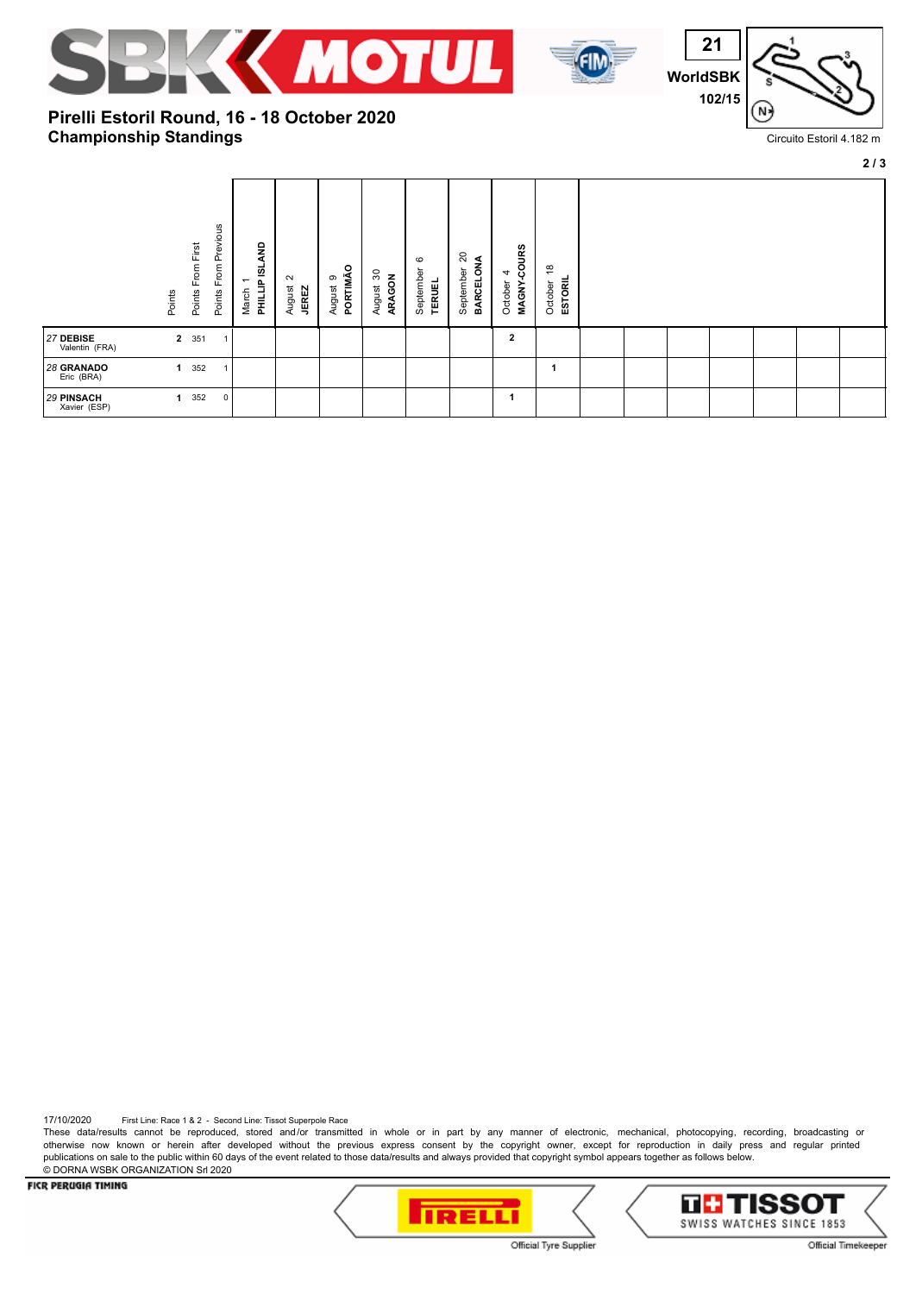



**21 WorldSBK 102/15** N<sup>:</sup>

Circuito Estoril 4.182 m

## **Championship Standings Pirelli Estoril Round, 16 - 18 October 2020**

|                                   |                |                      |                            |                                                      |                                  |                         |                       |                                       |                              |                                 |                                            |  |  |  | 2/3 |
|-----------------------------------|----------------|----------------------|----------------------------|------------------------------------------------------|----------------------------------|-------------------------|-----------------------|---------------------------------------|------------------------------|---------------------------------|--------------------------------------------|--|--|--|-----|
|                                   | Points         | From First<br>Points | Previous<br>From<br>Points | <b>QNA</b><br>PHILLIP ISL<br>$\overline{ }$<br>March | $\sim$<br>August<br><b>JEREZ</b> | PORTIMÃO<br>ၜ<br>August | ౚ<br>ARAGON<br>August | $\circ$<br>September<br><b>TERUEL</b> | 20<br>BARCELONA<br>September | COURS<br>4<br>MAGNY-<br>October | $\frac{8}{1}$<br><b>ESTORIL</b><br>October |  |  |  |     |
| 27 DEBISE<br>Valentin (FRA)       | $\overline{2}$ | 351                  | -1                         |                                                      |                                  |                         |                       |                                       |                              | $\mathbf{2}$                    |                                            |  |  |  |     |
| 28 GRANADO<br>Eric (BRA)          |                | 352                  | 1                          |                                                      |                                  |                         |                       |                                       |                              |                                 |                                            |  |  |  |     |
| <b>29 PINSACH</b><br>Xavier (ESP) |                | 352                  | $\mathbf 0$                |                                                      |                                  |                         |                       |                                       |                              |                                 |                                            |  |  |  |     |

17/10/2020 First Line: Race 1 & 2 - Second Line: Tissot Superpole Race

These data/results cannot be reproduced, stored and/or transmitted in whole or in part by any manner of electronic, mechanical, photocopying, recording, broadcasting or otherwise now known or herein after developed without the previous express consent by the copyright owner, except for reproduction in daily press and regular printed publications on sale to the public within 60 days of the event related to those data/results and always provided that copyright symbol appears together as follows below. © DORNA WSBK ORGANIZATION Srl 2020

FICR PERUGIA TIMING





Official Tyre Supplier